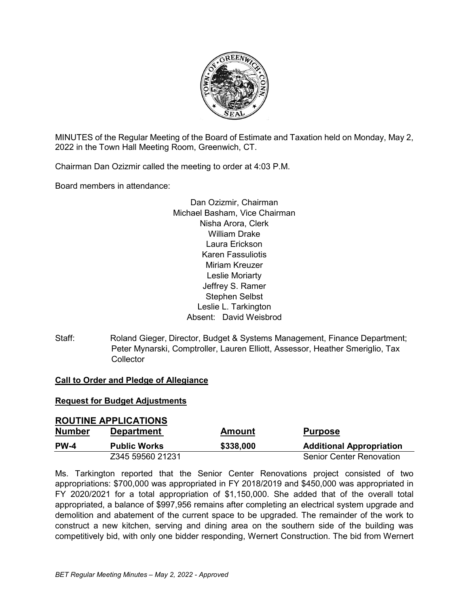

MINUTES of the Regular Meeting of the Board of Estimate and Taxation held on Monday, May 2, 2022 in the Town Hall Meeting Room, Greenwich, CT.

Chairman Dan Ozizmir called the meeting to order at 4:03 P.M.

Board members in attendance:

Dan Ozizmir, Chairman Michael Basham, Vice Chairman Nisha Arora, Clerk William Drake Laura Erickson Karen Fassuliotis Miriam Kreuzer Leslie Moriarty Jeffrey S. Ramer Stephen Selbst Leslie L. Tarkington Absent: David Weisbrod

Staff: Roland Gieger, Director, Budget & Systems Management, Finance Department; Peter Mynarski, Comptroller, Lauren Elliott, Assessor, Heather Smeriglio, Tax **Collector** 

## **Call to Order and Pledge of Allegiance**

#### **Request for Budget Adjustments**

| <b>ROUTINE APPLICATIONS</b> |                     |               |                                 |
|-----------------------------|---------------------|---------------|---------------------------------|
| <b>Number</b>               | <b>Department</b>   | <b>Amount</b> | <b>Purpose</b>                  |
| <b>PW-4</b>                 | <b>Public Works</b> | \$338,000     | <b>Additional Appropriation</b> |
|                             | Z345 59560 21231    |               | <b>Senior Center Renovation</b> |

Ms. Tarkington reported that the Senior Center Renovations project consisted of two appropriations: \$700,000 was appropriated in FY 2018/2019 and \$450,000 was appropriated in FY 2020/2021 for a total appropriation of \$1,150,000. She added that of the overall total appropriated, a balance of \$997,956 remains after completing an electrical system upgrade and demolition and abatement of the current space to be upgraded. The remainder of the work to construct a new kitchen, serving and dining area on the southern side of the building was competitively bid, with only one bidder responding, Wernert Construction. The bid from Wernert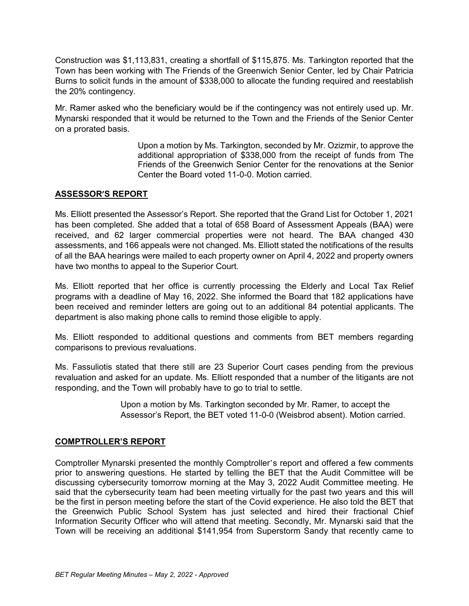Construction was \$1,113,831, creating a shortfall of \$115,875. Ms. Tarkington reported that the Town has been working with The Friends of the Greenwich Senior Center, led by Chair Patricia Burns to solicit funds in the amount of \$338,000 to allocate the funding required and reestablish the 20% contingency.

Mr. Ramer asked who the beneficiary would be if the contingency was not entirely used up. Mr. Mynarski responded that it would be returned to the Town and the Friends of the Senior Center on a prorated basis.

> Upon a motion by Ms. Tarkington, seconded by Mr. Ozizmir, to approve the additional appropriation of \$338,000 from the receipt of funds from The Friends of the Greenwich Senior Center for the renovations at the Senior Center the Board voted 11-0-0. Motion carried.

# **ASSESSOR'S REPORT**

Ms. Elliott presented the Assessor's Report. She reported that the Grand List for October 1, 2021 has been completed. She added that a total of 658 Board of Assessment Appeals (BAA) were received, and 62 larger commercial properties were not heard. The BAA changed 430 assessments, and 166 appeals were not changed. Ms. Elliott stated the notifications of the results of all the BAA hearings were mailed to each property owner on April 4, 2022 and property owners have two months to appeal to the Superior Court.

Ms. Elliott reported that her office is currently processing the Elderly and Local Tax Relief programs with a deadline of May 16, 2022. She informed the Board that 182 applications have been received and reminder letters are going out to an additional 84 potential applicants. The department is also making phone calls to remind those eligible to apply.

Ms. Elliott responded to additional questions and comments from BET members regarding comparisons to previous revaluations.

Ms. Fassuliotis stated that there still are 23 Superior Court cases pending from the previous revaluation and asked for an update. Ms. Elliott responded that a number of the litigants are not responding, and the Town will probably have to go to trial to settle.

> Upon a motion by Ms. Tarkington seconded by Mr. Ramer, to accept the Assessor's Report, the BET voted 11-0-0 (Weisbrod absent). Motion carried.

## **COMPTROLLER'S REPORT**

Comptroller Mynarski presented the monthly Comptroller's report and offered a few comments prior to answering questions. He started by telling the BET that the Audit Committee will be discussing cybersecurity tomorrow morning at the May 3, 2022 Audit Committee meeting. He said that the cybersecurity team had been meeting virtually for the past two years and this will be the first in person meeting before the start of the Covid experience. He also told the BET that the Greenwich Public School System has just selected and hired their fractional Chief Information Security Officer who will attend that meeting. Secondly, Mr. Mynarski said that the Town will be receiving an additional \$141,954 from Superstorm Sandy that recently came to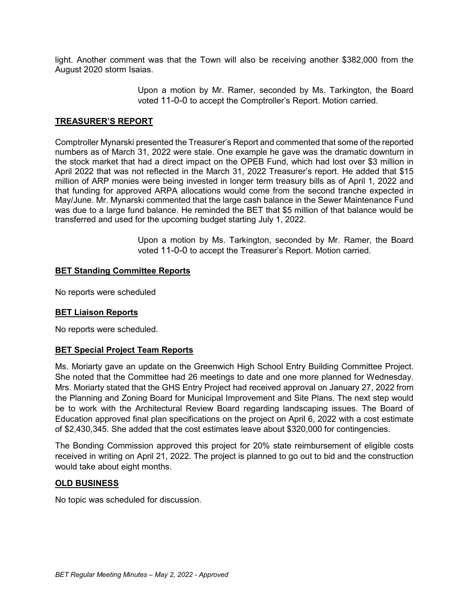light. Another comment was that the Town will also be receiving another \$382,000 from the August 2020 storm Isaias.

> Upon a motion by Mr. Ramer, seconded by Ms. Tarkington, the Board voted 11-0-0 to accept the Comptroller's Report. Motion carried.

### **TREASURER'S REPORT**

Comptroller Mynarski presented the Treasurer's Report and commented that some of the reported numbers as of March 31, 2022 were stale. One example he gave was the dramatic downturn in the stock market that had a direct impact on the OPEB Fund, which had lost over \$3 million in April 2022 that was not reflected in the March 31, 2022 Treasurer's report. He added that \$15 million of ARP monies were being invested in longer term treasury bills as of April 1, 2022 and that funding for approved ARPA allocations would come from the second tranche expected in May/June. Mr. Mynarski commented that the large cash balance in the Sewer Maintenance Fund was due to a large fund balance. He reminded the BET that \$5 million of that balance would be transferred and used for the upcoming budget starting July 1, 2022.

> Upon a motion by Ms. Tarkington, seconded by Mr. Ramer, the Board voted 11-0-0 to accept the Treasurer's Report. Motion carried.

#### **BET Standing Committee Reports**

No reports were scheduled

#### **BET Liaison Reports**

No reports were scheduled.

#### **BET Special Project Team Reports**

Ms. Moriarty gave an update on the Greenwich High School Entry Building Committee Project. She noted that the Committee had 26 meetings to date and one more planned for Wednesday. Mrs. Moriarty stated that the GHS Entry Project had received approval on January 27, 2022 from the Planning and Zoning Board for Municipal Improvement and Site Plans. The next step would be to work with the Architectural Review Board regarding landscaping issues. The Board of Education approved final plan specifications on the project on April 6, 2022 with a cost estimate of \$2,430,345. She added that the cost estimates leave about \$320,000 for contingencies.

The Bonding Commission approved this project for 20% state reimbursement of eligible costs received in writing on April 21, 2022. The project is planned to go out to bid and the construction would take about eight months.

#### **OLD BUSINESS**

No topic was scheduled for discussion.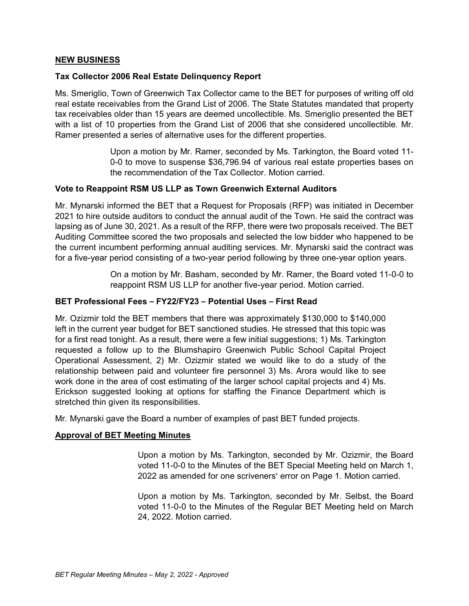### **NEW BUSINESS**

### **Tax Collector 2006 Real Estate Delinquency Report**

Ms. Smeriglio, Town of Greenwich Tax Collector came to the BET for purposes of writing off old real estate receivables from the Grand List of 2006. The State Statutes mandated that property tax receivables older than 15 years are deemed uncollectible. Ms. Smeriglio presented the BET with a list of 10 properties from the Grand List of 2006 that she considered uncollectible. Mr. Ramer presented a series of alternative uses for the different properties.

> Upon a motion by Mr. Ramer, seconded by Ms. Tarkington, the Board voted 11- 0-0 to move to suspense \$36,796.94 of various real estate properties bases on the recommendation of the Tax Collector. Motion carried.

# **Vote to Reappoint RSM US LLP as Town Greenwich External Auditors**

Mr. Mynarski informed the BET that a Request for Proposals (RFP) was initiated in December 2021 to hire outside auditors to conduct the annual audit of the Town. He said the contract was lapsing as of June 30, 2021. As a result of the RFP, there were two proposals received. The BET Auditing Committee scored the two proposals and selected the low bidder who happened to be the current incumbent performing annual auditing services. Mr. Mynarski said the contract was for a five-year period consisting of a two-year period following by three one-year option years.

> On a motion by Mr. Basham, seconded by Mr. Ramer, the Board voted 11-0-0 to reappoint RSM US LLP for another five-year period. Motion carried.

#### **BET Professional Fees – FY22/FY23 – Potential Uses – First Read**

Mr. Ozizmir told the BET members that there was approximately \$130,000 to \$140,000 left in the current year budget for BET sanctioned studies. He stressed that this topic was for a first read tonight. As a result, there were a few initial suggestions; 1) Ms. Tarkington requested a follow up to the Blumshapiro Greenwich Public School Capital Project Operational Assessment, 2) Mr. Ozizmir stated we would like to do a study of the relationship between paid and volunteer fire personnel 3) Ms. Arora would like to see work done in the area of cost estimating of the larger school capital projects and 4) Ms. Erickson suggested looking at options for staffing the Finance Department which is stretched thin given its responsibilities.

Mr. Mynarski gave the Board a number of examples of past BET funded projects.

#### **Approval of BET Meeting Minutes**

Upon a motion by Ms. Tarkington, seconded by Mr. Ozizmir, the Board voted 11-0-0 to the Minutes of the BET Special Meeting held on March 1, 2022 as amended for one scriveners' error on Page 1. Motion carried.

Upon a motion by Ms. Tarkington, seconded by Mr. Selbst, the Board voted 11-0-0 to the Minutes of the Regular BET Meeting held on March 24, 2022. Motion carried.